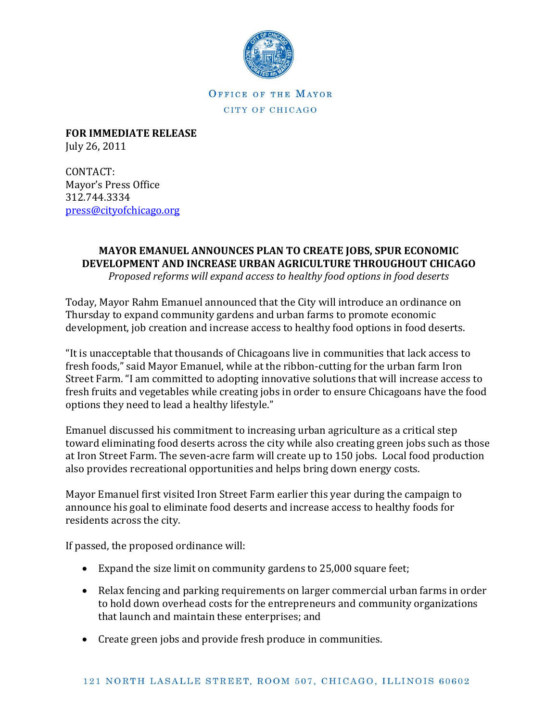

OFFICE OF THE MAYOR CITY OF CHICAGO

**FOR IMMEDIATE RELEASE** July 26, 2011

CONTACT: Mayor's Press Office 312.744.3334 [press@cityofchicago.org](mailto:press@cityofchicago.org)

## **MAYOR EMANUEL ANNOUNCES PLAN TO CREATE JOBS, SPUR ECONOMIC DEVELOPMENT AND INCREASE URBAN AGRICULTURE THROUGHOUT CHICAGO**

*Proposed reforms will expand access to healthy food options in food deserts* 

Today, Mayor Rahm Emanuel announced that the City will introduce an ordinance on Thursday to expand community gardens and urban farms to promote economic development, job creation and increase access to healthy food options in food deserts.

"It is unacceptable that thousands of Chicagoans live in communities that lack access to fresh foods," said Mayor Emanuel, while at the ribbon-cutting for the urban farm Iron Street Farm. "I am committed to adopting innovative solutions that will increase access to fresh fruits and vegetables while creating jobs in order to ensure Chicagoans have the food options they need to lead a healthy lifestyle."

Emanuel discussed his commitment to increasing urban agriculture as a critical step toward eliminating food deserts across the city while also creating green jobs such as those at Iron Street Farm. The seven-acre farm will create up to 150 jobs. Local food production also provides recreational opportunities and helps bring down energy costs.

Mayor Emanuel first visited Iron Street Farm earlier this year during the campaign to announce his goal to eliminate food deserts and increase access to healthy foods for residents across the city.

If passed, the proposed ordinance will:

- Expand the size limit on community gardens to 25,000 square feet;
- Relax fencing and parking requirements on larger commercial urban farms in order to hold down overhead costs for the entrepreneurs and community organizations that launch and maintain these enterprises; and
- Create green jobs and provide fresh produce in communities.